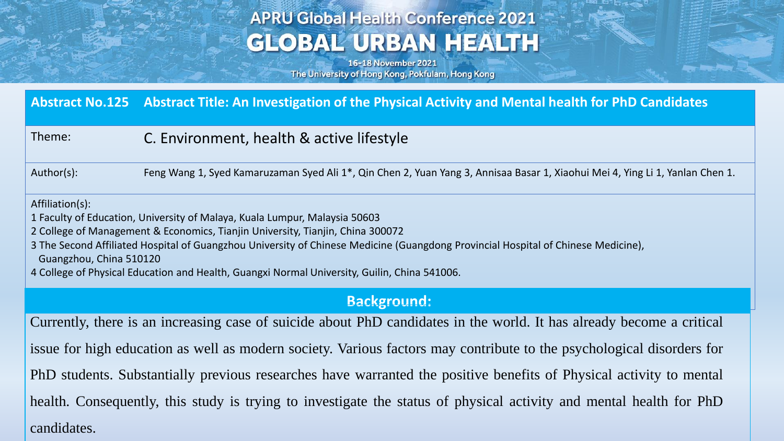# **APRU Global Health Conference 2021 GLOBAL URBAN HEALTH**

16-18 November 2021 The University of Hong Kong, Pokfulam, Hong Kong

|                                                                                                                                                                                                                                                                                                                                                                                                                                                 | Abstract No.125 Abstract Title: An Investigation of the Physical Activity and Mental health for PhD Candidates                |
|-------------------------------------------------------------------------------------------------------------------------------------------------------------------------------------------------------------------------------------------------------------------------------------------------------------------------------------------------------------------------------------------------------------------------------------------------|-------------------------------------------------------------------------------------------------------------------------------|
| Theme:                                                                                                                                                                                                                                                                                                                                                                                                                                          | C. Environment, health & active lifestyle                                                                                     |
| Author(s):                                                                                                                                                                                                                                                                                                                                                                                                                                      | Feng Wang 1, Syed Kamaruzaman Syed Ali 1*, Qin Chen 2, Yuan Yang 3, Annisaa Basar 1, Xiaohui Mei 4, Ying Li 1, Yanlan Chen 1. |
| Affiliation(s):<br>1 Faculty of Education, University of Malaya, Kuala Lumpur, Malaysia 50603<br>2 College of Management & Economics, Tianjin University, Tianjin, China 300072<br>3 The Second Affiliated Hospital of Guangzhou University of Chinese Medicine (Guangdong Provincial Hospital of Chinese Medicine),<br>Guangzhou, China 510120<br>4 College of Physical Education and Health, Guangxi Normal University, Guilin, China 541006. |                                                                                                                               |
| <b>Background:</b>                                                                                                                                                                                                                                                                                                                                                                                                                              |                                                                                                                               |
| Currently, there is an increasing case of suicide about PhD candidates in the world. It has already become a critical                                                                                                                                                                                                                                                                                                                           |                                                                                                                               |
| issue for high education as well as modern society. Various factors may contribute to the psychological disorders for                                                                                                                                                                                                                                                                                                                           |                                                                                                                               |

PhD students. Substantially previous researches have warranted the positive benefits of Physical activity to mental

health. Consequently, this study is trying to investigate the status of physical activity and mental health for PhD candidates.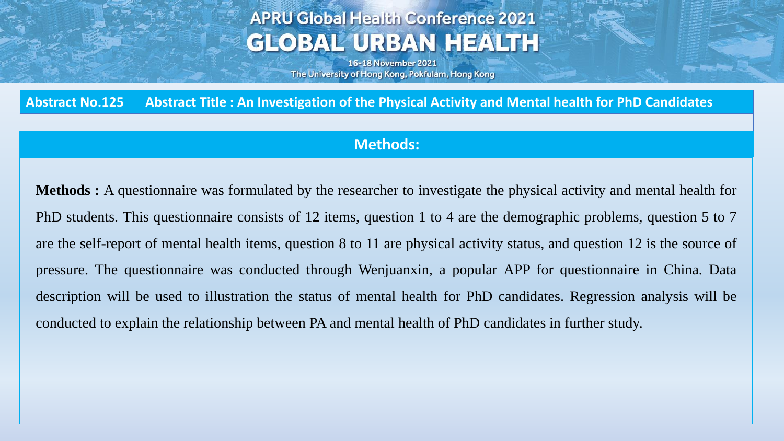## **APRU Global Health Conference 2021 GLOBAL URBAN HEALTH**

16-18 November 2021 The University of Hong Kong, Pokfulam, Hong Kong

Abstract No.125 Abstract Title: An Investigation of the Physical Activity and Mental health for PhD Candidates

#### **Methods:**

**Methods :** A questionnaire was formulated by the researcher to investigate the physical activity and mental health for PhD students. This questionnaire consists of 12 items, question 1 to 4 are the demographic problems, question 5 to 7 are the self-report of mental health items, question 8 to 11 are physical activity status, and question 12 is the source of pressure. The questionnaire was conducted through Wenjuanxin, a popular APP for questionnaire in China. Data description will be used to illustration the status of mental health for PhD candidates. Regression analysis will be conducted to explain the relationship between PA and mental health of PhD candidates in further study.